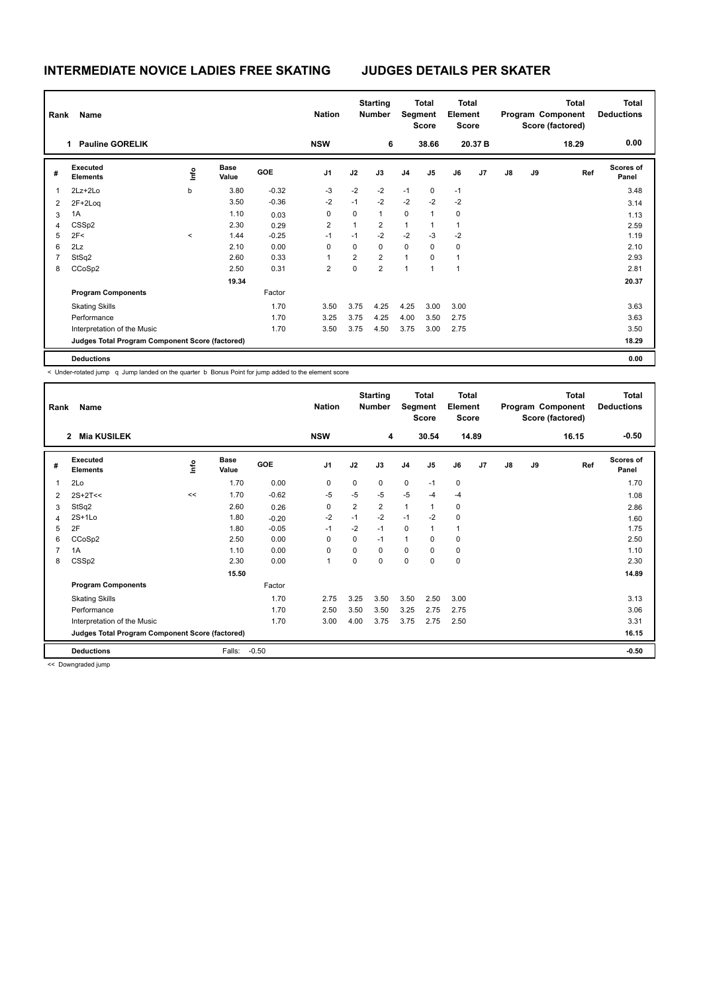# **INTERMEDIATE NOVICE LADIES FREE SKATING JUDGES DETAILS PER SKATER**

|   | Rank<br>Name                                    |         |                      |         |                |                | <b>Starting</b><br><b>Number</b> |                | Total<br>Segment<br>Score |                | <b>Total</b><br>Element<br>Score |               |    | <b>Total</b><br>Program Component<br>Score (factored) | <b>Total</b><br><b>Deductions</b> |  |
|---|-------------------------------------------------|---------|----------------------|---------|----------------|----------------|----------------------------------|----------------|---------------------------|----------------|----------------------------------|---------------|----|-------------------------------------------------------|-----------------------------------|--|
|   | <b>Pauline GORELIK</b><br>1                     |         |                      |         | <b>NSW</b>     |                | 6                                |                | 38.66                     |                | 20.37 B                          |               |    | 18.29                                                 | 0.00                              |  |
| # | Executed<br><b>Elements</b>                     | ١nf٥    | <b>Base</b><br>Value | GOE     | J <sub>1</sub> | J2             | J3                               | J <sub>4</sub> | J <sub>5</sub>            | J6             | J7                               | $\mathsf{J}8$ | J9 | Ref                                                   | Scores of<br>Panel                |  |
| 1 | $2Lz + 2Lo$                                     | b       | 3.80                 | $-0.32$ | -3             | $-2$           | $-2$                             | $-1$           | $\mathbf 0$               | $-1$           |                                  |               |    |                                                       | 3.48                              |  |
| 2 | $2F+2Log$                                       |         | 3.50                 | $-0.36$ | $-2$           | $-1$           | $-2$                             | $-2$           | $-2$                      | $-2$           |                                  |               |    |                                                       | 3.14                              |  |
| 3 | 1A                                              |         | 1.10                 | 0.03    | $\Omega$       | 0              | $\mathbf{1}$                     | 0              | $\overline{1}$            | 0              |                                  |               |    |                                                       | 1.13                              |  |
| 4 | CSS <sub>p2</sub>                               |         | 2.30                 | 0.29    | 2              | 1              | $\overline{2}$                   | 1              | -1                        | $\mathbf{1}$   |                                  |               |    |                                                       | 2.59                              |  |
| 5 | 2F<                                             | $\prec$ | 1.44                 | $-0.25$ | $-1$           | $-1$           | $-2$                             | $-2$           | $-3$                      | $-2$           |                                  |               |    |                                                       | 1.19                              |  |
| 6 | 2Lz                                             |         | 2.10                 | 0.00    | 0              | $\Omega$       | $\Omega$                         | $\mathbf 0$    | $\Omega$                  | $\mathbf 0$    |                                  |               |    |                                                       | 2.10                              |  |
|   | StSq2                                           |         | 2.60                 | 0.33    | 1              | $\overline{2}$ | $\overline{2}$                   | $\mathbf{1}$   | $\Omega$                  | -1             |                                  |               |    |                                                       | 2.93                              |  |
| 8 | CCoSp2                                          |         | 2.50                 | 0.31    | $\overline{2}$ | 0              | $\overline{2}$                   | $\overline{1}$ | $\overline{1}$            | $\overline{1}$ |                                  |               |    |                                                       | 2.81                              |  |
|   |                                                 |         | 19.34                |         |                |                |                                  |                |                           |                |                                  |               |    |                                                       | 20.37                             |  |
|   | <b>Program Components</b>                       |         |                      | Factor  |                |                |                                  |                |                           |                |                                  |               |    |                                                       |                                   |  |
|   | <b>Skating Skills</b>                           |         |                      | 1.70    | 3.50           | 3.75           | 4.25                             | 4.25           | 3.00                      | 3.00           |                                  |               |    |                                                       | 3.63                              |  |
|   | Performance                                     |         |                      | 1.70    | 3.25           | 3.75           | 4.25                             | 4.00           | 3.50                      | 2.75           |                                  |               |    |                                                       | 3.63                              |  |
|   | Interpretation of the Music                     |         |                      | 1.70    | 3.50           | 3.75           | 4.50                             | 3.75           | 3.00                      | 2.75           |                                  |               |    |                                                       | 3.50                              |  |
|   | Judges Total Program Component Score (factored) |         |                      |         |                |                |                                  |                |                           |                |                                  |               |    |                                                       | 18.29                             |  |
|   | <b>Deductions</b>                               |         |                      |         |                |                |                                  |                |                           |                |                                  |               |    |                                                       | 0.00                              |  |

< Under-rotated jump q Jump landed on the quarter b Bonus Point for jump added to the element score

| Rank           | Name<br><b>Mia KUSILEK</b><br>$\overline{2}$    | <b>Nation</b><br><b>NSW</b> | <b>Starting</b><br><b>Number</b><br>4 |            | <b>Total</b><br>Segment<br><b>Score</b><br>30.54 |                | <b>Total</b><br>Element<br><b>Score</b><br>14.89 |                | Program Component |                | <b>Total</b><br>Score (factored)<br>16.15 | <b>Total</b><br><b>Deductions</b><br>$-0.50$ |    |     |                           |
|----------------|-------------------------------------------------|-----------------------------|---------------------------------------|------------|--------------------------------------------------|----------------|--------------------------------------------------|----------------|-------------------|----------------|-------------------------------------------|----------------------------------------------|----|-----|---------------------------|
|                |                                                 |                             |                                       |            |                                                  |                |                                                  |                |                   |                |                                           |                                              |    |     |                           |
| #              | Executed<br><b>Elements</b>                     | ١nf٥                        | <b>Base</b><br>Value                  | <b>GOE</b> | J <sub>1</sub>                                   | J2             | J3                                               | J <sub>4</sub> | J5                | J6             | J <sub>7</sub>                            | $\mathsf{J}8$                                | J9 | Ref | <b>Scores of</b><br>Panel |
| 1              | 2Lo                                             |                             | 1.70                                  | 0.00       | 0                                                | $\Omega$       | 0                                                | $\mathbf 0$    | $-1$              | 0              |                                           |                                              |    |     | 1.70                      |
| 2              | $2S+2T<<$                                       | <<                          | 1.70                                  | $-0.62$    | -5                                               | -5             | $-5$                                             | $-5$           | -4                | $-4$           |                                           |                                              |    |     | 1.08                      |
| 3              | StSq2                                           |                             | 2.60                                  | 0.26       | $\mathbf 0$                                      | $\overline{2}$ | $\overline{2}$                                   | $\mathbf{1}$   | $\mathbf{1}$      | 0              |                                           |                                              |    |     | 2.86                      |
| 4              | $2S+1Lo$                                        |                             | 1.80                                  | $-0.20$    | $-2$                                             | $-1$           | $-2$                                             | $-1$           | $-2$              | 0              |                                           |                                              |    |     | 1.60                      |
| 5              | 2F                                              |                             | 1.80                                  | $-0.05$    | $-1$                                             | $-2$           | $-1$                                             | $\mathbf 0$    | $\mathbf{1}$      | $\overline{1}$ |                                           |                                              |    |     | 1.75                      |
| 6              | CCoSp2                                          |                             | 2.50                                  | 0.00       | 0                                                | 0              | $-1$                                             | $\mathbf{1}$   | 0                 | 0              |                                           |                                              |    |     | 2.50                      |
| $\overline{7}$ | 1A                                              |                             | 1.10                                  | 0.00       | 0                                                | $\Omega$       | 0                                                | $\mathbf 0$    | 0                 | 0              |                                           |                                              |    |     | 1.10                      |
| 8              | CSS <sub>p2</sub>                               |                             | 2.30                                  | 0.00       | $\mathbf{1}$                                     | 0              | 0                                                | $\mathbf 0$    | 0                 | 0              |                                           |                                              |    |     | 2.30                      |
|                |                                                 |                             | 15.50                                 |            |                                                  |                |                                                  |                |                   |                |                                           |                                              |    |     | 14.89                     |
|                | <b>Program Components</b>                       |                             |                                       | Factor     |                                                  |                |                                                  |                |                   |                |                                           |                                              |    |     |                           |
|                | <b>Skating Skills</b>                           |                             |                                       | 1.70       | 2.75                                             | 3.25           | 3.50                                             | 3.50           | 2.50              | 3.00           |                                           |                                              |    |     | 3.13                      |
|                | Performance                                     |                             |                                       | 1.70       | 2.50                                             | 3.50           | 3.50                                             | 3.25           | 2.75              | 2.75           |                                           |                                              |    |     | 3.06                      |
|                | Interpretation of the Music                     |                             |                                       | 1.70       | 3.00                                             | 4.00           | 3.75                                             | 3.75           | 2.75              | 2.50           |                                           |                                              |    |     | 3.31                      |
|                | Judges Total Program Component Score (factored) |                             |                                       |            |                                                  |                |                                                  |                |                   |                |                                           |                                              |    |     | 16.15                     |
|                | <b>Deductions</b>                               |                             | Falls:                                | $-0.50$    |                                                  |                |                                                  |                |                   |                |                                           |                                              |    |     | $-0.50$                   |

<< Downgraded jump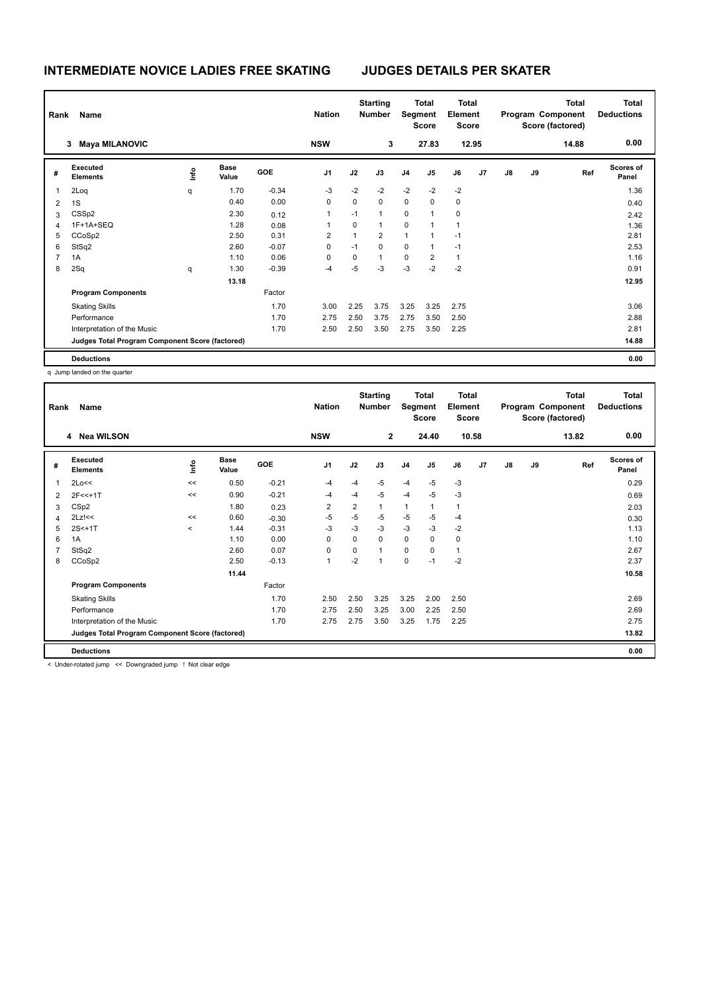# **INTERMEDIATE NOVICE LADIES FREE SKATING JUDGES DETAILS PER SKATER**

| Rank<br>Name            |                                                 |      |                      |            |                | <b>Starting</b><br><b>Number</b> |                | Total<br>Segment<br>Score |                | <b>Total</b><br>Element<br><b>Score</b> |                |    |    | <b>Total</b><br>Program Component<br>Score (factored) | <b>Total</b><br><b>Deductions</b> |
|-------------------------|-------------------------------------------------|------|----------------------|------------|----------------|----------------------------------|----------------|---------------------------|----------------|-----------------------------------------|----------------|----|----|-------------------------------------------------------|-----------------------------------|
|                         | <b>Maya MILANOVIC</b><br>3                      |      |                      |            | <b>NSW</b>     |                                  | 3              |                           | 27.83          | 12.95                                   |                |    |    | 14.88                                                 | 0.00                              |
| #                       | Executed<br><b>Elements</b>                     | lnfo | <b>Base</b><br>Value | <b>GOE</b> | J <sub>1</sub> | J2                               | J3             | J <sub>4</sub>            | J5             | J6                                      | J <sub>7</sub> | J8 | J9 | Ref                                                   | <b>Scores of</b><br>Panel         |
| $\overline{\mathbf{1}}$ | 2Loq                                            | q    | 1.70                 | $-0.34$    | $-3$           | $-2$                             | $-2$           | $-2$                      | $-2$           | $-2$                                    |                |    |    |                                                       | 1.36                              |
| $\overline{2}$          | 1S                                              |      | 0.40                 | 0.00       | 0              | 0                                | $\mathbf 0$    | $\mathbf 0$               | 0              | 0                                       |                |    |    |                                                       | 0.40                              |
| 3                       | CSS <sub>p2</sub>                               |      | 2.30                 | 0.12       | 1              | $-1$                             | $\mathbf{1}$   | $\mathbf 0$               | 1              | $\mathbf 0$                             |                |    |    |                                                       | 2.42                              |
| 4                       | 1F+1A+SEQ                                       |      | 1.28                 | 0.08       | 1              | 0                                | $\mathbf{1}$   | $\mathbf 0$               | 1              | $\overline{1}$                          |                |    |    |                                                       | 1.36                              |
| 5                       | CCoSp2                                          |      | 2.50                 | 0.31       | $\overline{2}$ | 1                                | $\overline{2}$ | 1                         | $\overline{1}$ | $-1$                                    |                |    |    |                                                       | 2.81                              |
| 6                       | StSq2                                           |      | 2.60                 | $-0.07$    | 0              | $-1$                             | $\mathbf 0$    | $\mathbf 0$               | 1              | $-1$                                    |                |    |    |                                                       | 2.53                              |
| $\overline{7}$          | 1A                                              |      | 1.10                 | 0.06       | $\mathbf 0$    | 0                                | $\mathbf{1}$   | $\mathbf 0$               | $\overline{2}$ | $\mathbf{1}$                            |                |    |    |                                                       | 1.16                              |
| 8                       | 2Sq                                             | q    | 1.30                 | $-0.39$    | $-4$           | -5                               | $-3$           | $-3$                      | $-2$           | $-2$                                    |                |    |    |                                                       | 0.91                              |
|                         |                                                 |      | 13.18                |            |                |                                  |                |                           |                |                                         |                |    |    |                                                       | 12.95                             |
|                         | <b>Program Components</b>                       |      |                      | Factor     |                |                                  |                |                           |                |                                         |                |    |    |                                                       |                                   |
|                         | <b>Skating Skills</b>                           |      |                      | 1.70       | 3.00           | 2.25                             | 3.75           | 3.25                      | 3.25           | 2.75                                    |                |    |    |                                                       | 3.06                              |
|                         | Performance                                     |      |                      | 1.70       | 2.75           | 2.50                             | 3.75           | 2.75                      | 3.50           | 2.50                                    |                |    |    |                                                       | 2.88                              |
|                         | Interpretation of the Music                     |      |                      | 1.70       | 2.50           | 2.50                             | 3.50           | 2.75                      | 3.50           | 2.25                                    |                |    |    |                                                       | 2.81                              |
|                         | Judges Total Program Component Score (factored) |      |                      |            |                |                                  |                |                           |                |                                         |                |    |    |                                                       | 14.88                             |
|                         | <b>Deductions</b>                               |      |                      |            |                |                                  |                |                           |                |                                         |                |    |    |                                                       | 0.00                              |

q Jump landed on the quarter

| Rank                                 | Name                                            | <b>Nation</b>            |                      | <b>Starting</b><br><b>Number</b> |                | <b>Total</b><br>Segment<br><b>Score</b> |              | <b>Total</b><br>Element<br>Score | <b>Total</b><br>Program Component<br>Score (factored) |                |       | <b>Total</b><br><b>Deductions</b> |    |       |                    |
|--------------------------------------|-------------------------------------------------|--------------------------|----------------------|----------------------------------|----------------|-----------------------------------------|--------------|----------------------------------|-------------------------------------------------------|----------------|-------|-----------------------------------|----|-------|--------------------|
| <b>Nea WILSON</b><br><b>NSW</b><br>4 |                                                 |                          |                      |                                  |                |                                         | $\mathbf{2}$ |                                  | 24.40                                                 |                | 10.58 |                                   |    | 13.82 | 0.00               |
| #                                    | <b>Executed</b><br><b>Elements</b>              | lnfo                     | <b>Base</b><br>Value | <b>GOE</b>                       | J1             | J2                                      | J3           | J <sub>4</sub>                   | J5                                                    | J6             | J7    | J8                                | J9 | Ref   | Scores of<br>Panel |
|                                      | 2Lo<<                                           | <<                       | 0.50                 | $-0.21$                          | $-4$           | $-4$                                    | $-5$         | $-4$                             | $-5$                                                  | $-3$           |       |                                   |    |       | 0.29               |
| 2                                    | $2F<<+1T$                                       | <<                       | 0.90                 | $-0.21$                          | $-4$           | $-4$                                    | $-5$         | $-4$                             | $-5$                                                  | $-3$           |       |                                   |    |       | 0.69               |
| 3                                    | CS <sub>p2</sub>                                |                          | 1.80                 | 0.23                             | $\overline{2}$ | $\overline{2}$                          | $\mathbf{1}$ | $\mathbf{1}$                     | 1                                                     | $\overline{1}$ |       |                                   |    |       | 2.03               |
|                                      | $2Lz$ !<<                                       | <<                       | 0.60                 | $-0.30$                          | $-5$           | $-5$                                    | $-5$         | $-5$                             | $-5$                                                  | -4             |       |                                   |    |       | 0.30               |
| 5                                    | $2S < +1T$                                      | $\overline{\phantom{a}}$ | 1.44                 | $-0.31$                          | $-3$           | $-3$                                    | $-3$         | $-3$                             | $-3$                                                  | $-2$           |       |                                   |    |       | 1.13               |
| 6                                    | 1A                                              |                          | 1.10                 | 0.00                             | 0              | $\mathbf 0$                             | $\mathbf 0$  | $\pmb{0}$                        | 0                                                     | 0              |       |                                   |    |       | 1.10               |
|                                      | StSq2                                           |                          | 2.60                 | 0.07                             | 0              | $\mathbf 0$                             | $\mathbf{1}$ | $\mathbf 0$                      | 0                                                     | -1             |       |                                   |    |       | 2.67               |
| 8                                    | CCoSp2                                          |                          | 2.50                 | $-0.13$                          | 1              | $-2$                                    | $\mathbf{1}$ | $\pmb{0}$                        | $-1$                                                  | $-2$           |       |                                   |    |       | 2.37               |
|                                      |                                                 |                          | 11.44                |                                  |                |                                         |              |                                  |                                                       |                |       |                                   |    |       | 10.58              |
|                                      | <b>Program Components</b>                       |                          |                      | Factor                           |                |                                         |              |                                  |                                                       |                |       |                                   |    |       |                    |
|                                      | <b>Skating Skills</b>                           |                          |                      | 1.70                             | 2.50           | 2.50                                    | 3.25         | 3.25                             | 2.00                                                  | 2.50           |       |                                   |    |       | 2.69               |
|                                      | Performance                                     |                          |                      | 1.70                             | 2.75           | 2.50                                    | 3.25         | 3.00                             | 2.25                                                  | 2.50           |       |                                   |    |       | 2.69               |
|                                      | Interpretation of the Music                     |                          |                      | 1.70                             | 2.75           | 2.75                                    | 3.50         | 3.25                             | 1.75                                                  | 2.25           |       |                                   |    |       | 2.75               |
|                                      | Judges Total Program Component Score (factored) |                          |                      |                                  |                |                                         |              |                                  |                                                       |                |       |                                   |    |       | 13.82              |
|                                      | <b>Deductions</b>                               |                          |                      |                                  |                |                                         |              |                                  |                                                       |                |       |                                   |    |       | 0.00               |

< Under-rotated jump << Downgraded jump ! Not clear edge